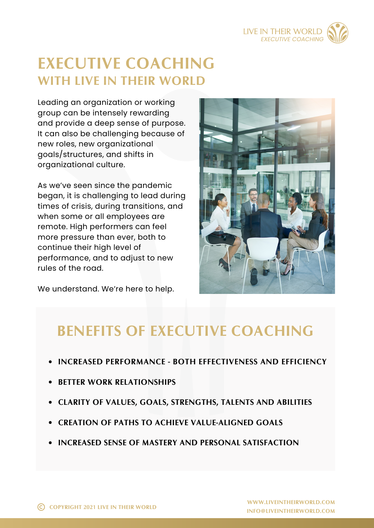

# **EXECUTIVE COACHING WITH LIVE IN THEIR WORLD**

Leading an organization or working group can be intensely rewarding and provide a deep sense of purpose. It can also be challenging because of new roles, new organizational goals/structures, and shifts in organizational culture.

As we've seen since the pandemic began, it is challenging to lead during times of crisis, during transitions, and when some or all employees are remote. High performers can feel more pressure than ever, both to continue their high level of performance, and to adjust to new rules of the road.

We understand. We're here to help.



## **BENEFITS OF EXECUTIVE COACHING**

- **INCREASED PERFORMANCE - BOTH EFFECTIVENESS AND EFFICIENCY**
- **BETTER WORK RELATIONSHIPS**
- **CLARITY OF VALUES, GOALS, STRENGTHS, TALENTS AND ABILITIES**
- **CREATION OF PATHS TO ACHIEVE VALUE-ALIGNED GOALS**
- **INCREASED SENSE OF MASTERY AND PERSONAL SATISFACTION**